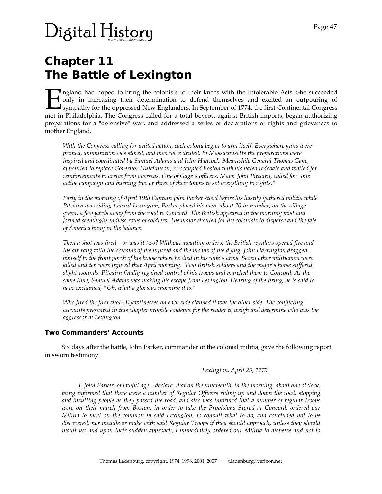# $\rm$ )igital History

## **Chapter 11 The Battle of Lexington**

Ingland had hoped to bring the colonists to their knees with the Intolerable Acts. She succeeded only in increasing their determination to defend themselves and excited an outpouring of sympathy for the oppressed New Englanders. In September of 1774, the first Continental Congress met in Philadelphia. The Congress called for a total boycott against British imports, began authorizing their state in Philadelphia. The Congress called for a total boycott against British imports, began authorizing their preparations for a "defensive" war, and addressed a series of declarations of rights and grievances to mother England.

*With the Congress calling for united action, each colony began to arm itself. Everywhere guns were primed, ammunition was stored, and men were drilled. In Massachusetts the preparations were inspired and coordinated by Samuel Adams and John Hancock. Meanwhile General Thomas Gage, appointed to replace Governor Hutchinson, re-occupied Boston with his hated redcoats and waited for reinforcements to arrive from overseas. One of Gage's officers, Major John Pitcairn, called for "one active campaign and burning two or three of their towns to set everything to rights."* 

*Early in the morning of April 19th Captain John Parker stood before his hastily gathered militia while Pitcairn was riding toward Lexington, Parker placed his men, about 70 in number, on the village green, a few yards away from the road to Concord. The British appeared in the morning mist and formed seemingly endless rows of soldiers. The major shouted for the colonists to disperse and the fate of America hung in the balance.* 

*Then a shot was fired—or was it two? Without awaiting orders, the British regulars opened fire and the air rang with the screams of the injured and the moans of the dying. John Harrington dragged himself to the front porch of his house where he died in his wife's arms. Seven other militiamen were killed and ten were injured that April morning. Two British soldiers and the major's horse suffered slight wounds. Pitcairn finally regained control of his troops and marched them to Concord. At the same time, Samuel Adams was making his escape from Lexington. Hearing of the firing, he is said to have exclaimed, "Oh, what a glorious morning it is."* 

*Who fired the first shot? Eyewitnesses on each side claimed it was the other side. The conflicting accounts presented in this chapter provide evidence for the reader to weigh and determine who was the aggressor at Lexington.* 

### **Two Commanders' Accounts**

Six days after the battle, John Parker, commander of the colonial militia, gave the following report in sworn testimony:

#### *Lexington, April 25, 1775*

*I, John Parker, of lawful age…declare, that on the nineteenth, in the morning, about one o'clock, being informed that there were a number of Regular Officers riding up and down the road, stopping and insulting people as they passed the road, and also was informed that a number of regular troops were on their march from Boston, in order to take the Provisions Stored at Concord, ordered our Militia to meet on the common in said Lexington, to consult what to do, and concluded not to be discovered, nor meddle or make with said Regular Troops if they should approach, unless they should insult us; and upon their sudden approach, I immediately ordered our Militia to disperse and not to*